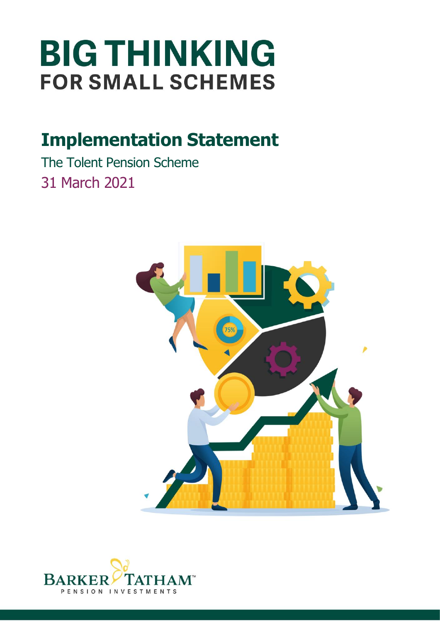# **BIG THINKING FOR SMALL SCHEMES**

## **Implementation Statement**

The Tolent Pension Scheme 31 March 2021



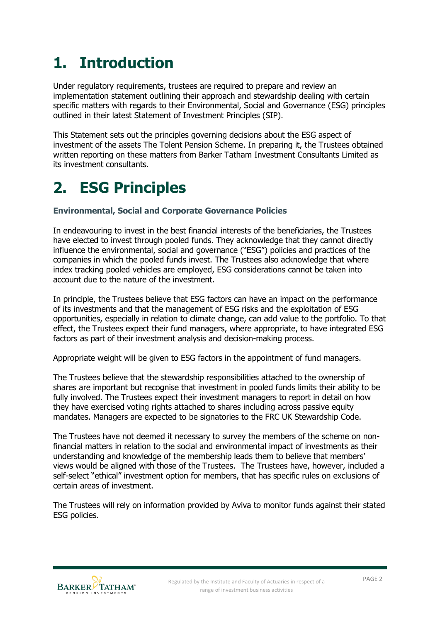### **1. Introduction**

Under regulatory requirements, trustees are required to prepare and review an implementation statement outlining their approach and stewardship dealing with certain specific matters with regards to their Environmental, Social and Governance (ESG) principles outlined in their latest Statement of Investment Principles (SIP).

This Statement sets out the principles governing decisions about the ESG aspect of investment of the assets The Tolent Pension Scheme. In preparing it, the Trustees obtained written reporting on these matters from Barker Tatham Investment Consultants Limited as its investment consultants.

#### **2. ESG Principles**

#### **Environmental, Social and Corporate Governance Policies**

In endeavouring to invest in the best financial interests of the beneficiaries, the Trustees have elected to invest through pooled funds. They acknowledge that they cannot directly influence the environmental, social and governance ("ESG") policies and practices of the companies in which the pooled funds invest. The Trustees also acknowledge that where index tracking pooled vehicles are employed, ESG considerations cannot be taken into account due to the nature of the investment.

In principle, the Trustees believe that ESG factors can have an impact on the performance of its investments and that the management of ESG risks and the exploitation of ESG opportunities, especially in relation to climate change, can add value to the portfolio. To that effect, the Trustees expect their fund managers, where appropriate, to have integrated ESG factors as part of their investment analysis and decision-making process.

Appropriate weight will be given to ESG factors in the appointment of fund managers.

The Trustees believe that the stewardship responsibilities attached to the ownership of shares are important but recognise that investment in pooled funds limits their ability to be fully involved. The Trustees expect their investment managers to report in detail on how they have exercised voting rights attached to shares including across passive equity mandates. Managers are expected to be signatories to the FRC UK Stewardship Code.

The Trustees have not deemed it necessary to survey the members of the scheme on nonfinancial matters in relation to the social and environmental impact of investments as their understanding and knowledge of the membership leads them to believe that members' views would be aligned with those of the Trustees. The Trustees have, however, included a self-select "ethical" investment option for members, that has specific rules on exclusions of certain areas of investment.

The Trustees will rely on information provided by Aviva to monitor funds against their stated ESG policies.

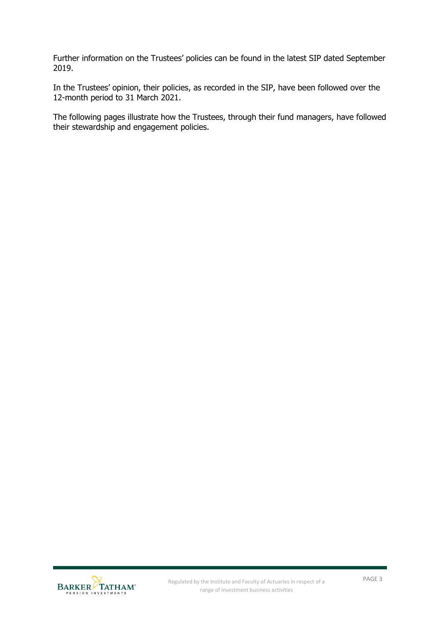Further information on the Trustees' policies can be found in the latest SIP dated September 2019.

In the Trustees' opinion, their policies, as recorded in the SIP, have been followed over the 12-month period to 31 March 2021.

The following pages illustrate how the Trustees, through their fund managers, have followed their stewardship and engagement policies.

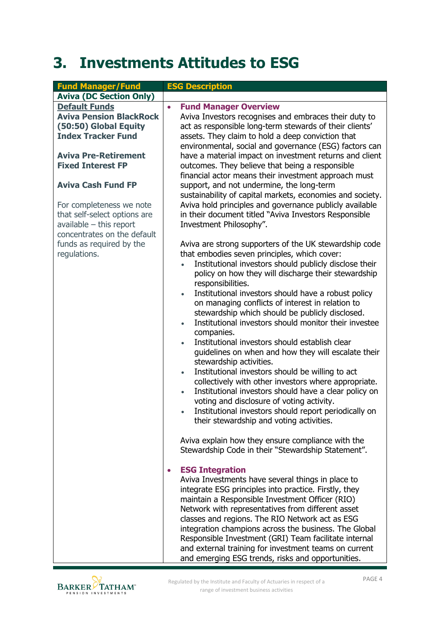#### **3. Investments Attitudes to ESG**

| <b>Fund Manager/Fund</b>       | <b>ESG Description</b>                                                                              |
|--------------------------------|-----------------------------------------------------------------------------------------------------|
| <b>Aviva (DC Section Only)</b> |                                                                                                     |
| <b>Default Funds</b>           | <b>Fund Manager Overview</b><br>$\bullet$                                                           |
| <b>Aviva Pension BlackRock</b> | Aviva Investors recognises and embraces their duty to                                               |
| (50:50) Global Equity          | act as responsible long-term stewards of their clients'                                             |
| <b>Index Tracker Fund</b>      | assets. They claim to hold a deep conviction that                                                   |
|                                | environmental, social and governance (ESG) factors can                                              |
| <b>Aviva Pre-Retirement</b>    | have a material impact on investment returns and client                                             |
| <b>Fixed Interest FP</b>       | outcomes. They believe that being a responsible                                                     |
|                                | financial actor means their investment approach must                                                |
| <b>Aviva Cash Fund FP</b>      | support, and not undermine, the long-term                                                           |
|                                | sustainability of capital markets, economies and society.                                           |
| For completeness we note       | Aviva hold principles and governance publicly available                                             |
| that self-select options are   | in their document titled "Aviva Investors Responsible                                               |
| $available$ – this report      | Investment Philosophy".                                                                             |
| concentrates on the default    |                                                                                                     |
| funds as required by the       | Aviva are strong supporters of the UK stewardship code                                              |
| regulations.                   | that embodies seven principles, which cover:                                                        |
|                                | Institutional investors should publicly disclose their                                              |
|                                | policy on how they will discharge their stewardship                                                 |
|                                | responsibilities.                                                                                   |
|                                | Institutional investors should have a robust policy                                                 |
|                                | on managing conflicts of interest in relation to<br>stewardship which should be publicly disclosed. |
|                                | Institutional investors should monitor their investee                                               |
|                                | companies.                                                                                          |
|                                | Institutional investors should establish clear<br>$\bullet$                                         |
|                                | guidelines on when and how they will escalate their                                                 |
|                                | stewardship activities.                                                                             |
|                                | Institutional investors should be willing to act<br>$\bullet$                                       |
|                                | collectively with other investors where appropriate.                                                |
|                                | Institutional investors should have a clear policy on<br>$\bullet$                                  |
|                                | voting and disclosure of voting activity.                                                           |
|                                | Institutional investors should report periodically on                                               |
|                                | their stewardship and voting activities.                                                            |
|                                |                                                                                                     |
|                                | Aviva explain how they ensure compliance with the                                                   |
|                                | Stewardship Code in their "Stewardship Statement".                                                  |
|                                |                                                                                                     |
|                                | <b>ESG Integration</b><br>$\bullet$<br>Aviva Investments have several things in place to            |
|                                | integrate ESG principles into practice. Firstly, they                                               |
|                                | maintain a Responsible Investment Officer (RIO)                                                     |
|                                | Network with representatives from different asset                                                   |
|                                | classes and regions. The RIO Network act as ESG                                                     |
|                                | integration champions across the business. The Global                                               |
|                                | Responsible Investment (GRI) Team facilitate internal                                               |
|                                | and external training for investment teams on current                                               |
|                                | and emerging ESG trends, risks and opportunities.                                                   |

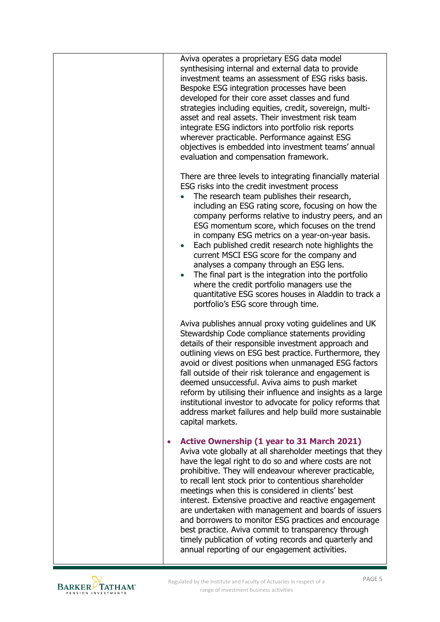| Aviva operates a proprietary ESG data model<br>synthesising internal and external data to provide<br>investment teams an assessment of ESG risks basis.<br>Bespoke ESG integration processes have been<br>developed for their core asset classes and fund<br>strategies including equities, credit, sovereign, multi-<br>asset and real assets. Their investment risk team<br>integrate ESG indictors into portfolio risk reports<br>wherever practicable. Performance against ESG<br>objectives is embedded into investment teams' annual<br>evaluation and compensation framework.                                                                                                                                             |
|----------------------------------------------------------------------------------------------------------------------------------------------------------------------------------------------------------------------------------------------------------------------------------------------------------------------------------------------------------------------------------------------------------------------------------------------------------------------------------------------------------------------------------------------------------------------------------------------------------------------------------------------------------------------------------------------------------------------------------|
| There are three levels to integrating financially material<br>ESG risks into the credit investment process<br>The research team publishes their research,<br>including an ESG rating score, focusing on how the<br>company performs relative to industry peers, and an<br>ESG momentum score, which focuses on the trend<br>in company ESG metrics on a year-on-year basis.<br>Each published credit research note highlights the<br>current MSCI ESG score for the company and<br>analyses a company through an ESG lens.<br>The final part is the integration into the portfolio<br>where the credit portfolio managers use the<br>quantitative ESG scores houses in Aladdin to track a<br>portfolio's ESG score through time. |
| Aviva publishes annual proxy voting guidelines and UK<br>Stewardship Code compliance statements providing<br>details of their responsible investment approach and<br>outlining views on ESG best practice. Furthermore, they<br>avoid or divest positions when unmanaged ESG factors<br>fall outside of their risk tolerance and engagement is<br>deemed unsuccessful. Aviva aims to push market<br>reform by utilising their influence and insights as a large<br>institutional investor to advocate for policy reforms that<br>address market failures and help build more sustainable<br>capital markets.                                                                                                                     |
| <b>Active Ownership (1 year to 31 March 2021)</b><br>Aviva vote globally at all shareholder meetings that they<br>have the legal right to do so and where costs are not<br>prohibitive. They will endeavour wherever practicable,<br>to recall lent stock prior to contentious shareholder<br>meetings when this is considered in clients' best<br>interest. Extensive proactive and reactive engagement<br>are undertaken with management and boards of issuers<br>and borrowers to monitor ESG practices and encourage<br>best practice. Aviva commit to transparency through<br>timely publication of voting records and quarterly and<br>annual reporting of our engagement activities.                                      |